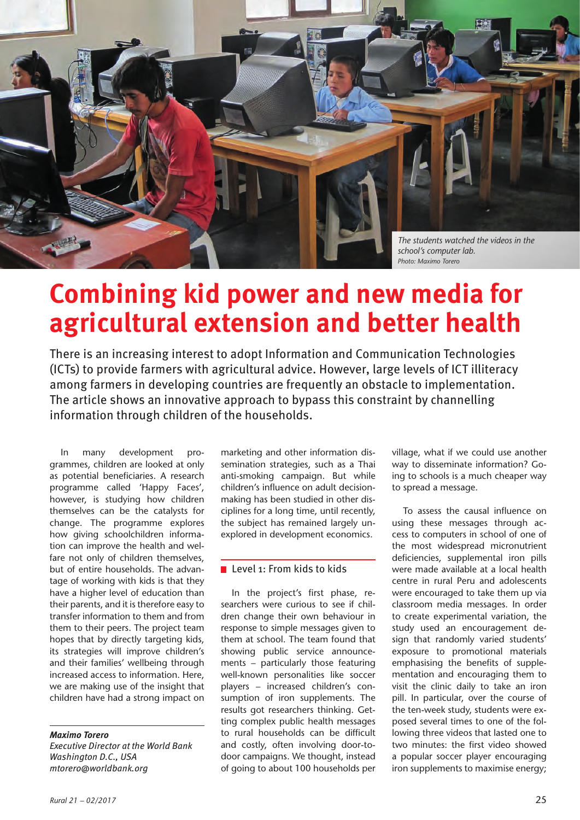

### **Combining kid power and new media for agricultural extension and better health**

There is an increasing interest to adopt Information and Communication Technologies (ICTs) to provide farmers with agricultural advice. However, large levels of ICT illiteracy among farmers in developing countries are frequently an obstacle to implementation. The article shows an innovative approach to bypass this constraint by channelling information through children of the households.

In many development programmes, children are looked at only as potential beneficiaries. A research programme called 'Happy Faces', however, is studying how children themselves can be the catalysts for change. The programme explores how giving schoolchildren information can improve the health and welfare not only of children themselves, but of entire households. The advantage of working with kids is that they have a higher level of education than their parents, and it is therefore easy to transfer information to them and from them to their peers. The project team hopes that by directly targeting kids, its strategies will improve children's and their families' wellbeing through increased access to information. Here, we are making use of the insight that children have had a strong impact on

### *Maximo Torero*

*Executive Director at the World Bank Washington D.C., USA mtorero@worldbank.org*

marketing and other information dissemination strategies, such as a Thai anti-smoking campaign. But while children's influence on adult decisionmaking has been studied in other disciplines for a long time, until recently, the subject has remained largely unexplored in development economics.

### Level 1: From kids to kids

In the project's first phase, researchers were curious to see if children change their own behaviour in response to simple messages given to them at school. The team found that showing public service announcements – particularly those featuring well-known personalities like soccer players – increased children's consumption of iron supplements. The results got researchers thinking. Getting complex public health messages to rural households can be difficult and costly, often involving door-todoor campaigns. We thought, instead of going to about 100 households per

village, what if we could use another way to disseminate information? Going to schools is a much cheaper way to spread a message.

To assess the causal influence on using these messages through access to computers in school of one of the most widespread micronutrient deficiencies, supplemental iron pills were made available at a local health centre in rural Peru and adolescents were encouraged to take them up via classroom media messages. In order to create experimental variation, the study used an encouragement design that randomly varied students' exposure to promotional materials emphasising the benefits of supplementation and encouraging them to visit the clinic daily to take an iron pill. In particular, over the course of the ten-week study, students were exposed several times to one of the following three videos that lasted one to two minutes: the first video showed a popular soccer player encouraging iron supplements to maximise energy;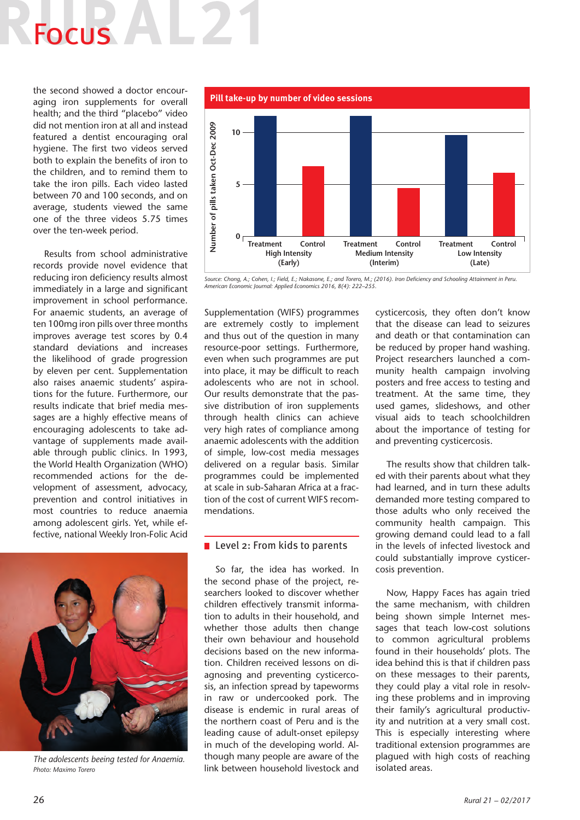# Focus

the second showed a doctor encouraging iron supplements for overall health; and the third "placebo" video did not mention iron at all and instead featured a dentist encouraging oral hygiene. The first two videos served both to explain the benefits of iron to the children, and to remind them to take the iron pills. Each video lasted between 70 and 100 seconds, and on average, students viewed the same one of the three videos 5.75 times over the ten-week period.

Results from school administrative records provide novel evidence that reducing iron deficiency results almost immediately in a large and significant improvement in school performance. For anaemic students, an average of ten 100mg iron pills over three months improves average test scores by 0.4 standard deviations and increases the likelihood of grade progression by eleven per cent. Supplementation also raises anaemic students' aspirations for the future. Furthermore, our results indicate that brief media messages are a highly effective means of encouraging adolescents to take advantage of supplements made available through public clinics. In 1993, the World Health Organization (WHO) recommended actions for the development of assessment, advocacy, prevention and control initiatives in most countries to reduce anaemia among adolescent girls. Yet, while effective, national Weekly Iron-Folic Acid



*The adolescents beeing tested for Anaemia. Photo: Maximo Torero*



*Source: Chong, A.; Cohen, I.; Field, E.; Nakasone, E.; and Torero, M.; (2016). Iron Deficiency and Schooling Attainment in Peru. American Economic Journal: Applied Economics 2016, 8(4): 222–255.*

Supplementation (WIFS) programmes are extremely costly to implement and thus out of the question in many resource-poor settings. Furthermore, even when such programmes are put into place, it may be difficult to reach adolescents who are not in school. Our results demonstrate that the passive distribution of iron supplements through health clinics can achieve very high rates of compliance among anaemic adolescents with the addition of simple, low-cost media messages delivered on a regular basis. Similar programmes could be implemented at scale in sub-Saharan Africa at a fraction of the cost of current WIFS recommendations.

### $\blacksquare$  Level 2: From kids to parents

So far, the idea has worked. In the second phase of the project, researchers looked to discover whether children effectively transmit information to adults in their household, and whether those adults then change their own behaviour and household decisions based on the new information. Children received lessons on diagnosing and preventing cysticercosis, an infection spread by tapeworms in raw or undercooked pork. The disease is endemic in rural areas of the northern coast of Peru and is the leading cause of adult-onset epilepsy in much of the developing world. Although many people are aware of the link between household livestock and cysticercosis, they often don't know that the disease can lead to seizures and death or that contamination can be reduced by proper hand washing. Project researchers launched a community health campaign involving posters and free access to testing and treatment. At the same time, they used games, slideshows, and other visual aids to teach schoolchildren about the importance of testing for and preventing cysticercosis.

The results show that children talked with their parents about what they had learned, and in turn these adults demanded more testing compared to those adults who only received the community health campaign. This growing demand could lead to a fall in the levels of infected livestock and could substantially improve cysticercosis prevention.

Now, Happy Faces has again tried the same mechanism, with children being shown simple Internet messages that teach low-cost solutions to common agricultural problems found in their households' plots. The idea behind this is that if children pass on these messages to their parents, they could play a vital role in resolving these problems and in improving their family's agricultural productivity and nutrition at a very small cost. This is especially interesting where traditional extension programmes are plagued with high costs of reaching isolated areas.